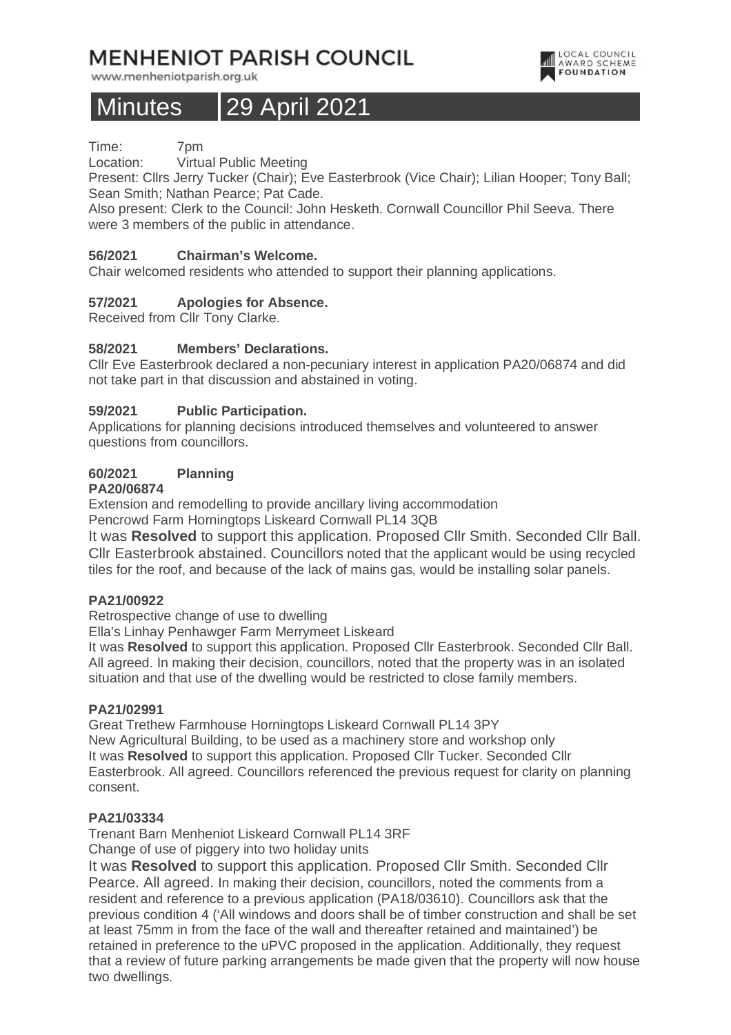## **MENHENIOT PARISH COUNCIL**

www.menheniotparish.org.uk

# Minutes 29 April 2021

LOCAL COUNCIL<br>AWARD SCHEME **FOUNDATION** 

Time: 7pm

Location: Virtual Public Meeting

Present: Cllrs Jerry Tucker (Chair); Eve Easterbrook (Vice Chair); Lilian Hooper; Tony Ball; Sean Smith; Nathan Pearce; Pat Cade.

Also present: Clerk to the Council: John Hesketh. Cornwall Councillor Phil Seeva. There were 3 members of the public in attendance.

## **56/2021 Chairman's Welcome.**

Chair welcomed residents who attended to support their planning applications.

## **57/2021 Apologies for Absence.**

Received from Cllr Tony Clarke.

#### **58/2021 Members' Declarations.**

Cllr Eve Easterbrook declared a non-pecuniary interest in application PA20/06874 and did not take part in that discussion and abstained in voting.

#### **59/2021 Public Participation.**

Applications for planning decisions introduced themselves and volunteered to answer questions from councillors.

## **60/2021 Planning**

#### **PA20/06874**

Extension and remodelling to provide ancillary living accommodation Pencrowd Farm Horningtops Liskeard Cornwall PL14 3QB

It was **Resolved** to support this application. Proposed Cllr Smith. Seconded Cllr Ball. Cllr Easterbrook abstained. Councillors noted that the applicant would be using recycled tiles for the roof, and because of the lack of mains gas, would be installing solar panels.

#### **PA21/00922**

Retrospective change of use to dwelling

Ella's Linhay Penhawger Farm Merrymeet Liskeard

It was **Resolved** to support this application. Proposed Cllr Easterbrook. Seconded Cllr Ball. All agreed. In making their decision, councillors, noted that the property was in an isolated situation and that use of the dwelling would be restricted to close family members.

#### **PA21/02991**

Great Trethew Farmhouse Horningtops Liskeard Cornwall PL14 3PY New Agricultural Building, to be used as a machinery store and workshop only It was **Resolved** to support this application. Proposed Cllr Tucker. Seconded Cllr Easterbrook. All agreed. Councillors referenced the previous request for clarity on planning consent.

#### **PA21/03334**

Trenant Barn Menheniot Liskeard Cornwall PL14 3RF

Change of use of piggery into two holiday units

It was **Resolved** to support this application. Proposed Cllr Smith. Seconded Cllr Pearce. All agreed. In making their decision, councillors, noted the comments from a resident and reference to a previous application (PA18/03610). Councillors ask that the previous condition 4 ('All windows and doors shall be of timber construction and shall be set at least 75mm in from the face of the wall and thereafter retained and maintained') be retained in preference to the uPVC proposed in the application. Additionally, they request that a review of future parking arrangements be made given that the property will now house two dwellings.